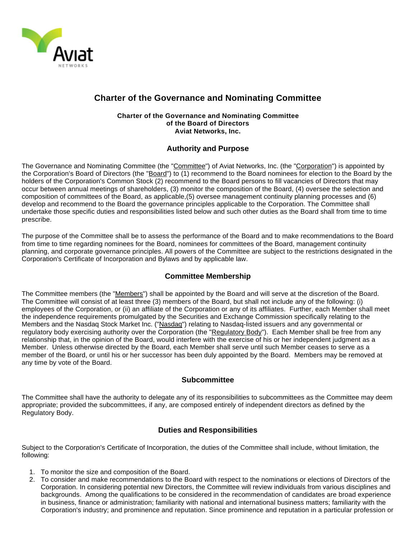

# **Charter of the Governance and Nominating Committee**

#### **Charter of the Governance and Nominating Committee of the Board of Directors Aviat Networks, Inc.**

## **Authority and Purpose**

The Governance and Nominating Committee (the "Committee") of Aviat Networks, Inc. (the "Corporation") is appointed by the Corporation's Board of Directors (the "Board") to (1) recommend to the Board nominees for election to the Board by the holders of the Corporation's Common Stock (2) recommend to the Board persons to fill vacancies of Directors that may occur between annual meetings of shareholders, (3) monitor the composition of the Board, (4) oversee the selection and composition of committees of the Board, as applicable,(5) oversee management continuity planning processes and (6) develop and recommend to the Board the governance principles applicable to the Corporation. The Committee shall undertake those specific duties and responsibilities listed below and such other duties as the Board shall from time to time prescribe.

The purpose of the Committee shall be to assess the performance of the Board and to make recommendations to the Board from time to time regarding nominees for the Board, nominees for committees of the Board, management continuity planning, and corporate governance principles. All powers of the Committee are subject to the restrictions designated in the Corporation's Certificate of Incorporation and Bylaws and by applicable law.

# **Committee Membership**

The Committee members (the "Members") shall be appointed by the Board and will serve at the discretion of the Board. The Committee will consist of at least three (3) members of the Board, but shall not include any of the following: (i) employees of the Corporation, or (ii) an affiliate of the Corporation or any of its affiliates. Further, each Member shall meet the independence requirements promulgated by the Securities and Exchange Commission specifically relating to the Members and the Nasdaq Stock Market Inc. ("Nasdaq") relating to Nasdaq-listed issuers and any governmental or regulatory body exercising authority over the Corporation (the "Regulatory Body"). Each Member shall be free from any relationship that, in the opinion of the Board, would interfere with the exercise of his or her independent judgment as a Member. Unless otherwise directed by the Board, each Member shall serve until such Member ceases to serve as a member of the Board, or until his or her successor has been duly appointed by the Board. Members may be removed at any time by vote of the Board.

### **Subcommittee**

The Committee shall have the authority to delegate any of its responsibilities to subcommittees as the Committee may deem appropriate; provided the subcommittees, if any, are composed entirely of independent directors as defined by the Regulatory Body.

### **Duties and Responsibilities**

Subject to the Corporation's Certificate of Incorporation, the duties of the Committee shall include, without limitation, the following:

- 1. To monitor the size and composition of the Board.
- 2. To consider and make recommendations to the Board with respect to the nominations or elections of Directors of the Corporation. In considering potential new Directors, the Committee will review individuals from various disciplines and backgrounds. Among the qualifications to be considered in the recommendation of candidates are broad experience in business, finance or administration; familiarity with national and international business matters; familiarity with the Corporation's industry; and prominence and reputation. Since prominence and reputation in a particular profession or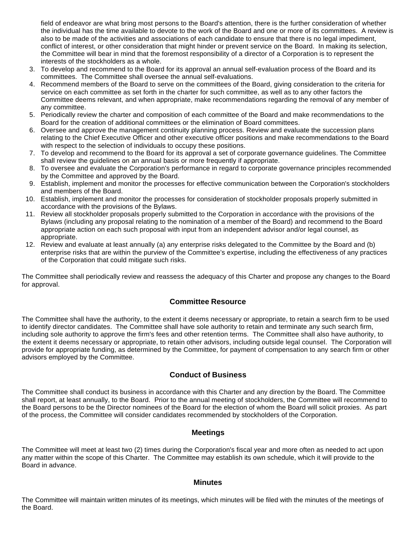field of endeavor are what bring most persons to the Board's attention, there is the further consideration of whether the individual has the time available to devote to the work of the Board and one or more of its committees. A review is also to be made of the activities and associations of each candidate to ensure that there is no legal impediment, conflict of interest, or other consideration that might hinder or prevent service on the Board. In making its selection, the Committee will bear in mind that the foremost responsibility of a director of a Corporation is to represent the interests of the stockholders as a whole.

- 3. To develop and recommend to the Board for its approval an annual self-evaluation process of the Board and its committees. The Committee shall oversee the annual self-evaluations.
- 4. Recommend members of the Board to serve on the committees of the Board, giving consideration to the criteria for service on each committee as set forth in the charter for such committee, as well as to any other factors the Committee deems relevant, and when appropriate, make recommendations regarding the removal of any member of any committee.
- 5. Periodically review the charter and composition of each committee of the Board and make recommendations to the Board for the creation of additional committees or the elimination of Board committees.
- 6. Oversee and approve the management continuity planning process. Review and evaluate the succession plans relating to the Chief Executive Officer and other executive officer positions and make recommendations to the Board with respect to the selection of individuals to occupy these positions.
- 7. To develop and recommend to the Board for its approval a set of corporate governance guidelines. The Committee shall review the guidelines on an annual basis or more frequently if appropriate.
- 8. To oversee and evaluate the Corporation's performance in regard to corporate governance principles recommended by the Committee and approved by the Board.
- 9. Establish, implement and monitor the processes for effective communication between the Corporation's stockholders and members of the Board.
- 10. Establish, implement and monitor the processes for consideration of stockholder proposals properly submitted in accordance with the provisions of the Bylaws.
- 11. Review all stockholder proposals properly submitted to the Corporation in accordance with the provisions of the Bylaws (including any proposal relating to the nomination of a member of the Board) and recommend to the Board appropriate action on each such proposal with input from an independent advisor and/or legal counsel, as appropriate.
- 12. Review and evaluate at least annually (a) any enterprise risks delegated to the Committee by the Board and (b) enterprise risks that are within the purview of the Committee's expertise, including the effectiveness of any practices of the Corporation that could mitigate such risks.

The Committee shall periodically review and reassess the adequacy of this Charter and propose any changes to the Board for approval.

### **Committee Resource**

The Committee shall have the authority, to the extent it deems necessary or appropriate, to retain a search firm to be used to identify director candidates. The Committee shall have sole authority to retain and terminate any such search firm, including sole authority to approve the firm's fees and other retention terms. The Committee shall also have authority, to the extent it deems necessary or appropriate, to retain other advisors, including outside legal counsel. The Corporation will provide for appropriate funding, as determined by the Committee, for payment of compensation to any search firm or other advisors employed by the Committee.

### **Conduct of Business**

The Committee shall conduct its business in accordance with this Charter and any direction by the Board. The Committee shall report, at least annually, to the Board. Prior to the annual meeting of stockholders, the Committee will recommend to the Board persons to be the Director nominees of the Board for the election of whom the Board will solicit proxies. As part of the process, the Committee will consider candidates recommended by stockholders of the Corporation.

#### **Meetings**

The Committee will meet at least two (2) times during the Corporation's fiscal year and more often as needed to act upon any matter within the scope of this Charter. The Committee may establish its own schedule, which it will provide to the Board in advance.

#### **Minutes**

The Committee will maintain written minutes of its meetings, which minutes will be filed with the minutes of the meetings of the Board.